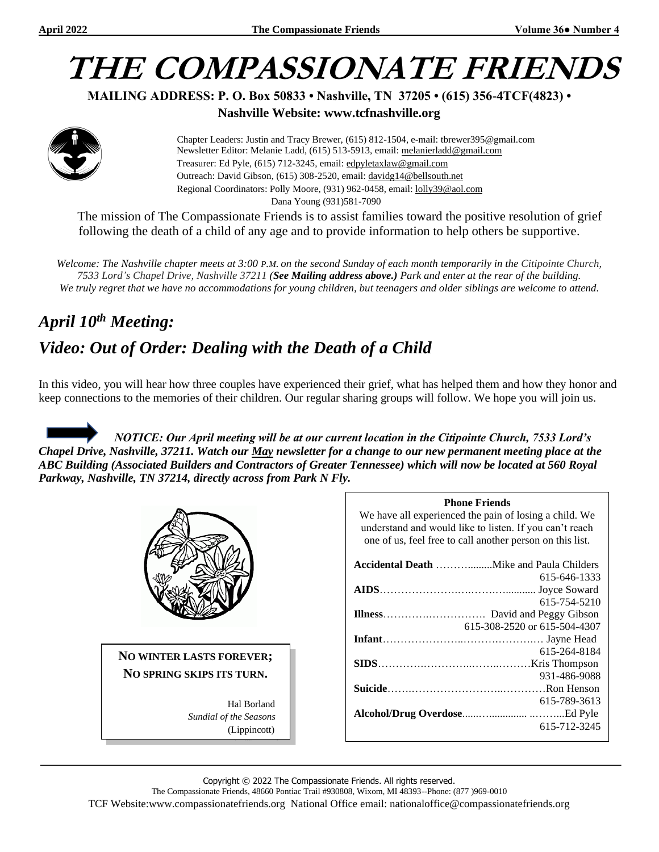# **THE COMPASSIONATE FRIENDS**

**MAILING ADDRESS: P. O. Box 50833 • Nashville, TN 37205 • (615) 356-4TCF(4823) •**

**Nashville Website: www.tcfnashville.org**

 Chapter Leaders: Justin and Tracy Brewer, (615) 812-1504, e-mail: tbrewer395@gmail.com Newsletter Editor: Melanie Ladd, (615) 513-5913, email: [melanierladd@gmail.com](mailto:melanierladd@gmail.com)  Treasurer: Ed Pyle, (615) 712-3245, email[: edpyletaxlaw@gmail.com](mailto:edpyletaxlaw@gmail.com) Outreach: David Gibson, (615) 308-2520, email: davidg14@bellsouth.net Regional Coordinators: Polly Moore, (931) 962-0458, email: [lolly39@aol.com](mailto:lolly39@aol.com) Dana Young (931)581-7090

The mission of The Compassionate Friends is to assist families toward the positive resolution of grief following the death of a child of any age and to provide information to help others be supportive.

*Welcome: The Nashville chapter meets at 3:00 P.M. on the second Sunday of each month temporarily in the Citipointe Church, 7533 Lord's Chapel Drive, Nashville 37211 (See Mailing address above.) Park and enter at the rear of the building. We truly regret that we have no accommodations for young children, but teenagers and older siblings are welcome to attend.*

# *April 10 th Meeting: Video: Out of Order: Dealing with the Death of a Child*

In this video, you will hear how three couples have experienced their grief, what has helped them and how they honor and keep connections to the memories of their children. Our regular sharing groups will follow. We hope you will join us.

 *NOTICE: Our April meeting will be at our current location in the Citipointe Church, 7533 Lord's Chapel Drive, Nashville, 37211. Watch our May newsletter for a change to our new permanent meeting place at the ABC Building (Associated Builders and Contractors of Greater Tennessee) which will now be located at 560 Royal Parkway, Nashville, TN 37214, directly across from Park N Fly.*



**NO WINTER LASTS FOREVER; NO SPRING SKIPS ITS TURN.**

> Hal Borland *Sundial of the Seasons* (Lippincott)

| <b>Phone Friends</b>                                      |
|-----------------------------------------------------------|
| We have all experienced the pain of losing a child. We    |
| understand and would like to listen. If you can't reach   |
| one of us, feel free to call another person on this list. |
|                                                           |
| 615-646-1333                                              |
|                                                           |
| 615-754-5210                                              |
|                                                           |
| 615-308-2520 or 615-504-4307                              |
|                                                           |
| 615-264-8184                                              |
|                                                           |
| 931-486-9088                                              |
|                                                           |
| 615-789-3613                                              |
|                                                           |
| 615-712-3245                                              |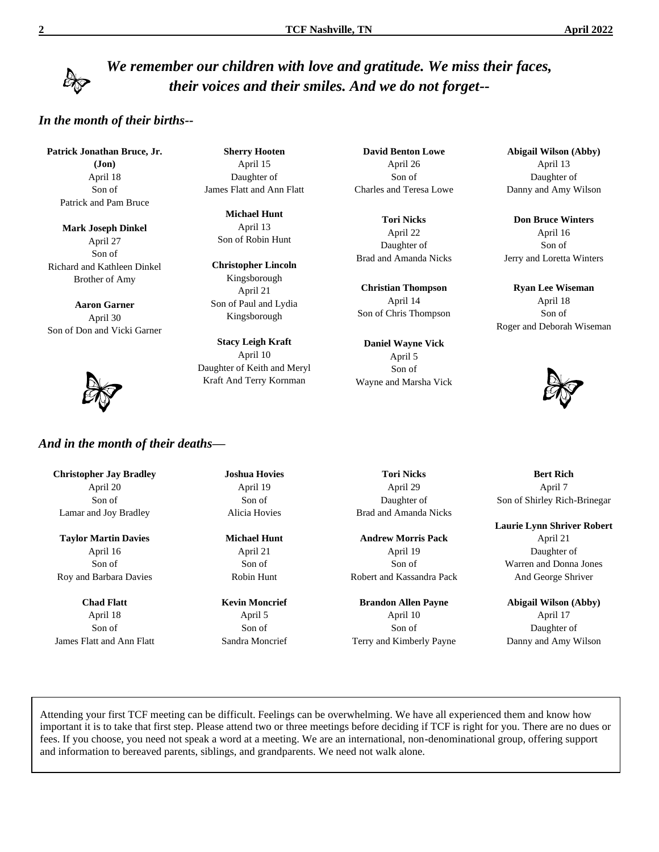# *We remember our children with love and gratitude. We miss their faces, their voices and their smiles. And we do not forget--*

#### *In the month of their births--*

**Patrick Jonathan Bruce, Jr. (Jon)** April 18 Son of Patrick and Pam Bruce

**Mark Joseph Dinkel** April 27 Son of Richard and Kathleen Dinkel Brother of Amy

**Aaron Garner** April 30 Son of Don and Vicki Garner



**Sherry Hooten** April 15 Daughter of James Flatt and Ann Flatt

> **Michael Hunt** April 13 Son of Robin Hunt

**Christopher Lincoln** Kingsborough April 21 Son of Paul and Lydia Kingsborough

**Stacy Leigh Kraft** April 10 Daughter of Keith and Meryl Kraft And Terry Kornman

**David Benton Lowe** April 26 Son of Charles and Teresa Lowe

**Tori Nicks** April 22 Daughter of Brad and Amanda Nicks

**Christian Thompson** April 14 Son of Chris Thompson

**Daniel Wayne Vick** April 5 Son of Wayne and Marsha Vick **Abigail Wilson (Abby)** April 13 Daughter of Danny and Amy Wilson

**Don Bruce Winters** April 16 Son of Jerry and Loretta Winters

**Ryan Lee Wiseman** April 18 Son of Roger and Deborah Wiseman



**Bert Rich** April 7 Son of Shirley Rich-Brinegar

**Laurie Lynn Shriver Robert**

April 21 Daughter of Warren and Donna Jones And George Shriver

**Abigail Wilson (Abby)** April 17 Daughter of Danny and Amy Wilson

**Christopher Jay Bradley** April 20 Son of Lamar and Joy Bradley

*And in the month of their deaths—*

**Taylor Martin Davies** April 16 Son of Roy and Barbara Davies

**Chad Flatt** April 18 Son of James Flatt and Ann Flatt **Joshua Hovies** April 19 Son of Alicia Hovies

**Michael Hunt** April 21 Son of Robin Hunt

**Kevin Moncrief** April 5 Son of Sandra Moncrief

**Tori Nicks** April 29 Daughter of Brad and Amanda Nicks

**Andrew Morris Pack** April 19 Son of Robert and Kassandra Pack

**Brandon Allen Payne** April 10 Son of Terry and Kimberly Payne

Attending your first TCF meeting can be difficult. Feelings can be overwhelming. We have all experienced them and know how important it is to take that first step. Please attend two or three meetings before deciding if TCF is right for you. There are no dues or fees. If you choose, you need not speak a word at a meeting. We are an international, non-denominational group, offering support and information to bereaved parents, siblings, and grandparents. We need not walk alone.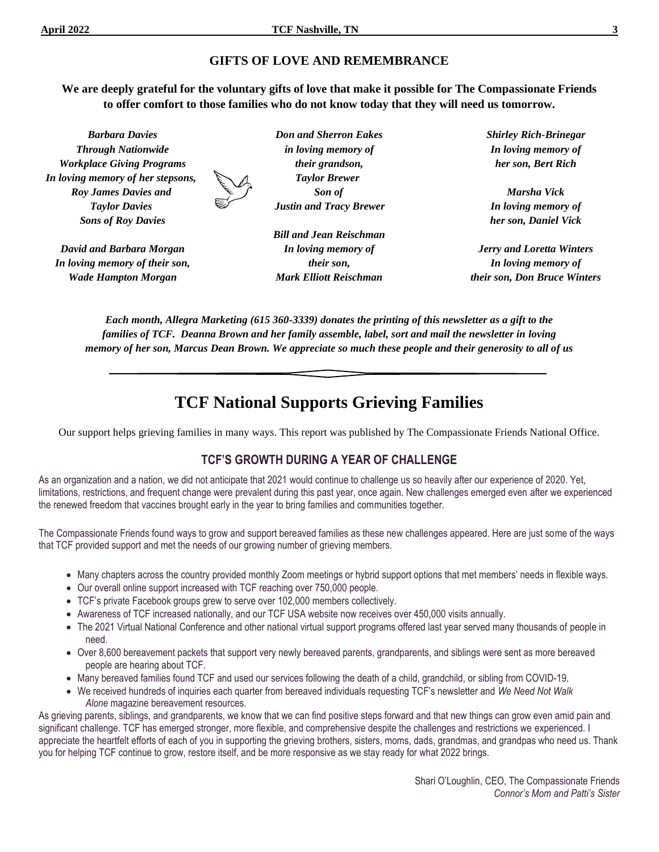*Wade Hampton Morgan*

#### **GIFTS OF LOVE AND REMEMBRANCE**

**We are deeply grateful for the voluntary gifts of love that make it possible for The Compassionate Friends to offer comfort to those families who do not know today that they will need us tomorrow.**

*Barbara Davies Through Nationwide Workplace Giving Programs In loving memory of her stepsons, Roy James Davies and Taylor Davies Sons of Roy Davies David and Barbara Morgan In loving memory of their son, Don and Sherron Eakes in loving memory of their grandson, Taylor Brewer Son of Justin and Tracy Brewer Bill and Jean Reischman In loving memory of their son, Shirley Rich-Brinegar In loving memory of her son, Bert Rich Marsha Vick In loving memory of her son, Daniel Vick Jerry and Loretta Winters In loving memory of*

*Each month, Allegra Marketing (615 360-3339) donates the printing of this newsletter as a gift to the families of TCF. Deanna Brown and her family assemble, label, sort and mail the newsletter in loving memory of her son, Marcus Dean Brown. We appreciate so much these people and their generosity to all of us*

*Mark Elliott Reischman*

# **TCF National Supports Grieving Families**

Our support helps grieving families in many ways. This report was published by The Compassionate Friends National Office.

#### **TCF'S GROWTH DURING A YEAR OF CHALLENGE**

As an organization and a nation, we did not anticipate that 2021 would continue to challenge us so heavily after our experience of 2020. Yet, limitations, restrictions, and frequent change were prevalent during this past year, once again. New challenges emerged even after we experienced the renewed freedom that vaccines brought early in the year to bring families and communities together.

The Compassionate Friends found ways to grow and support bereaved families as these new challenges appeared. Here are just some of the ways that TCF provided support and met the needs of our growing number of grieving members.

- Many chapters across the country provided monthly Zoom meetings or hybrid support options that met members' needs in flexible ways.
- Our overall online support increased with TCF reaching over 750,000 people.
- TCF's private Facebook groups grew to serve over 102,000 members collectively.
- Awareness of TCF increased nationally, and our TCF USA website now receives over 450,000 visits annually.
- The 2021 Virtual National Conference and other national virtual support programs offered last year served many thousands of people in need.
- Over 8,600 bereavement packets that support very newly bereaved parents, grandparents, and siblings were sent as more bereaved people are hearing about TCF.
- Many bereaved families found TCF and used our services following the death of a child, grandchild, or sibling from COVID-19.
- We received hundreds of inquiries each quarter from bereaved individuals requesting TCF's newsletter and *We Need Not Walk Alone* magazine bereavement resources.

As grieving parents, siblings, and grandparents, we know that we can find positive steps forward and that new things can grow even amid pain and significant challenge. TCF has emerged stronger, more flexible, and comprehensive despite the challenges and restrictions we experienced. I appreciate the heartfelt efforts of each of you in supporting the grieving brothers, sisters, moms, dads, grandmas, and grandpas who need us. Thank you for helping TCF continue to grow, restore itself, and be more responsive as we stay ready for what 2022 brings.

*their son, Don Bruce Winters*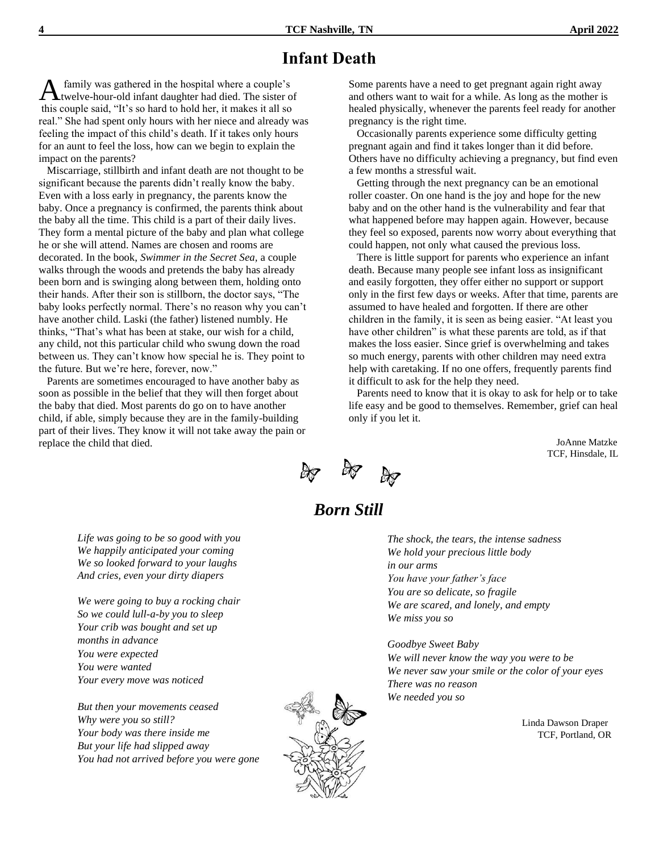# **Infant Death**

family was gathered in the hospital where a couple's twelve-hour-old infant daughter had died. The sister of this couple said, "It's so hard to hold her, it makes it all so real." She had spent only hours with her niece and already was feeling the impact of this child's death. If it takes only hours for an aunt to feel the loss, how can we begin to explain the impact on the parents? A

 Miscarriage, stillbirth and infant death are not thought to be significant because the parents didn't really know the baby. Even with a loss early in pregnancy, the parents know the baby. Once a pregnancy is confirmed, the parents think about the baby all the time. This child is a part of their daily lives. They form a mental picture of the baby and plan what college he or she will attend. Names are chosen and rooms are decorated. In the book, *Swimmer in the Secret Sea,* a couple walks through the woods and pretends the baby has already been born and is swinging along between them, holding onto their hands. After their son is stillborn, the doctor says, "The baby looks perfectly normal. There's no reason why you can't have another child. Laski (the father) listened numbly. He thinks, "That's what has been at stake, our wish for a child, any child, not this particular child who swung down the road between us. They can't know how special he is. They point to the future. But we're here, forever, now."

 Parents are sometimes encouraged to have another baby as soon as possible in the belief that they will then forget about the baby that died. Most parents do go on to have another child, if able, simply because they are in the family-building part of their lives. They know it will not take away the pain or replace the child that died.

Some parents have a need to get pregnant again right away and others want to wait for a while. As long as the mother is healed physically, whenever the parents feel ready for another pregnancy is the right time.

 Occasionally parents experience some difficulty getting pregnant again and find it takes longer than it did before. Others have no difficulty achieving a pregnancy, but find even a few months a stressful wait.

 Getting through the next pregnancy can be an emotional roller coaster. On one hand is the joy and hope for the new baby and on the other hand is the vulnerability and fear that what happened before may happen again. However, because they feel so exposed, parents now worry about everything that could happen, not only what caused the previous loss.

 There is little support for parents who experience an infant death. Because many people see infant loss as insignificant and easily forgotten, they offer either no support or support only in the first few days or weeks. After that time, parents are assumed to have healed and forgotten. If there are other children in the family, it is seen as being easier. "At least you have other children" is what these parents are told, as if that makes the loss easier. Since grief is overwhelming and takes so much energy, parents with other children may need extra help with caretaking. If no one offers, frequently parents find it difficult to ask for the help they need.

 Parents need to know that it is okay to ask for help or to take life easy and be good to themselves. Remember, grief can heal only if you let it.

> JoAnne Matzke TCF, Hinsdale, IL



# *Born Still*

*The shock, the tears, the intense sadness We hold your precious little body in our arms You have your father's face You are so delicate, so fragile We are scared, and lonely, and empty We miss you so*

*Goodbye Sweet Baby We will never know the way you were to be We never saw your smile or the color of your eyes There was no reason We needed you so*

> Linda Dawson Draper TCF, Portland, OR

*Life was going to be so good with you We happily anticipated your coming We so looked forward to your laughs And cries, even your dirty diapers*

*We were going to buy a rocking chair So we could lull-a-by you to sleep Your crib was bought and set up months in advance You were expected You were wanted Your every move was noticed*

*But then your movements ceased Why were you so still? Your body was there inside me But your life had slipped away You had not arrived before you were gone*

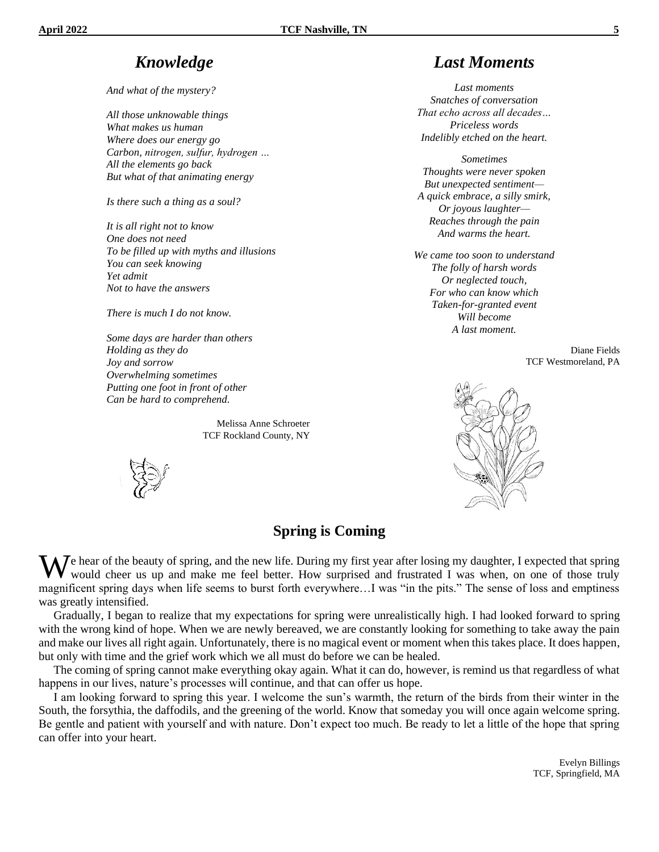# *Knowledge*

*And what of the mystery?*

*All those unknowable things What makes us human Where does our energy go Carbon, nitrogen, sulfur, hydrogen … All the elements go back But what of that animating energy*

*Is there such a thing as a soul?*

*It is all right not to know One does not need To be filled up with myths and illusions You can seek knowing Yet admit Not to have the answers*

*There is much I do not know.*

*Some days are harder than others Holding as they do Joy and sorrow Overwhelming sometimes Putting one foot in front of other Can be hard to comprehend.*

> Melissa Anne Schroeter TCF Rockland County, NY

# *Last Moments*

*Last moments Snatches of conversation That echo across all decades… Priceless words Indelibly etched on the heart.*

*Sometimes Thoughts were never spoken But unexpected sentiment— A quick embrace, a silly smirk, Or joyous laughter— Reaches through the pain And warms the heart.*

*We came too soon to understand The folly of harsh words Or neglected touch, For who can know which Taken-for-granted event Will become A last moment.*

> Diane Fields TCF Westmoreland, PA



#### **Spring is Coming**

We hear of the beauty of spring, and the new life. During my first year after losing my daughter, I expected that spring would cheer us up and make me feel better. How surprised and frustrated I was when, on one of those t would cheer us up and make me feel better. How surprised and frustrated I was when, on one of those truly magnificent spring days when life seems to burst forth everywhere…I was "in the pits." The sense of loss and emptiness was greatly intensified.

 Gradually, I began to realize that my expectations for spring were unrealistically high. I had looked forward to spring with the wrong kind of hope. When we are newly bereaved, we are constantly looking for something to take away the pain and make our lives all right again. Unfortunately, there is no magical event or moment when this takes place. It does happen, but only with time and the grief work which we all must do before we can be healed.

 The coming of spring cannot make everything okay again. What it can do, however, is remind us that regardless of what happens in our lives, nature's processes will continue, and that can offer us hope.

 I am looking forward to spring this year. I welcome the sun's warmth, the return of the birds from their winter in the South, the forsythia, the daffodils, and the greening of the world. Know that someday you will once again welcome spring. Be gentle and patient with yourself and with nature. Don't expect too much. Be ready to let a little of the hope that spring can offer into your heart.

> Evelyn Billings TCF, Springfield, MA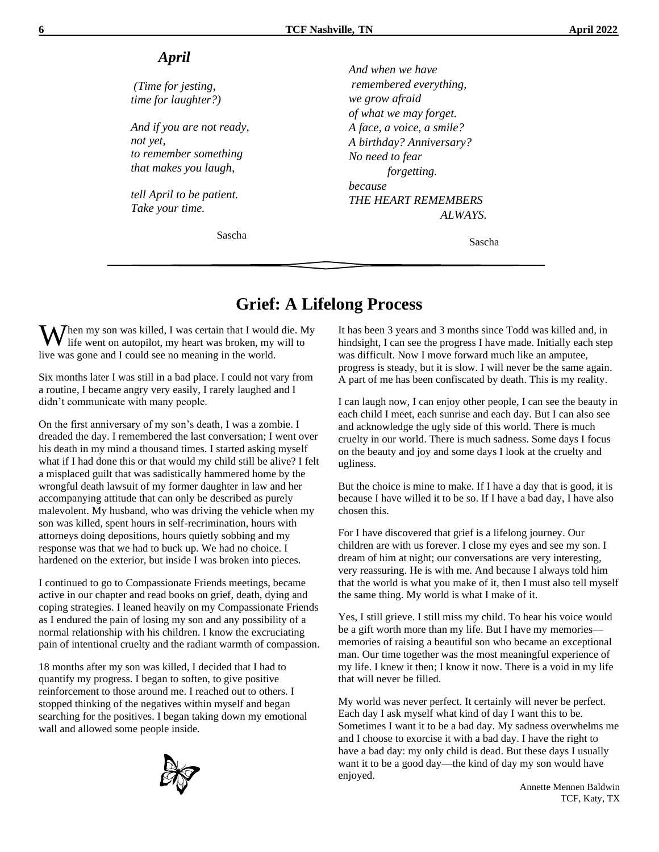#### *April*

*(Time for jesting, time for laughter?)*

*And if you are not ready, not yet, to remember something that makes you laugh,*

*tell April to be patient. Take your time.*

Sascha

*And when we have remembered everything, we grow afraid of what we may forget. A face, a voice, a smile? A birthday? Anniversary? No need to fear forgetting. because THE HEART REMEMBERS ALWAYS.* 

Sascha

# **Grief: A Lifelong Process**

 $\mathbf{W}$ hen my son was killed, I was certain that I would die. My life went on autopilot, my heart was broken, my will to life went on autopilot, my heart was broken, my will to live was gone and I could see no meaning in the world.

Six months later I was still in a bad place. I could not vary from a routine, I became angry very easily, I rarely laughed and I didn't communicate with many people.

On the first anniversary of my son's death, I was a zombie. I dreaded the day. I remembered the last conversation; I went over his death in my mind a thousand times. I started asking myself what if I had done this or that would my child still be alive? I felt a misplaced guilt that was sadistically hammered home by the wrongful death lawsuit of my former daughter in law and her accompanying attitude that can only be described as purely malevolent. My husband, who was driving the vehicle when my son was killed, spent hours in self-recrimination, hours with attorneys doing depositions, hours quietly sobbing and my response was that we had to buck up. We had no choice. I hardened on the exterior, but inside I was broken into pieces.

I continued to go to Compassionate Friends meetings, became active in our chapter and read books on grief, death, dying and coping strategies. I leaned heavily on my Compassionate Friends as I endured the pain of losing my son and any possibility of a normal relationship with his children. I know the excruciating pain of intentional cruelty and the radiant warmth of compassion.

18 months after my son was killed, I decided that I had to quantify my progress. I began to soften, to give positive reinforcement to those around me. I reached out to others. I stopped thinking of the negatives within myself and began searching for the positives. I began taking down my emotional wall and allowed some people inside.



It has been 3 years and 3 months since Todd was killed and, in hindsight, I can see the progress I have made. Initially each step was difficult. Now I move forward much like an amputee, progress is steady, but it is slow. I will never be the same again. A part of me has been confiscated by death. This is my reality.

I can laugh now, I can enjoy other people, I can see the beauty in each child I meet, each sunrise and each day. But I can also see and acknowledge the ugly side of this world. There is much cruelty in our world. There is much sadness. Some days I focus on the beauty and joy and some days I look at the cruelty and ugliness.

But the choice is mine to make. If I have a day that is good, it is because I have willed it to be so. If I have a bad day, I have also chosen this.

For I have discovered that grief is a lifelong journey. Our children are with us forever. I close my eyes and see my son. I dream of him at night; our conversations are very interesting, very reassuring. He is with me. And because I always told him that the world is what you make of it, then I must also tell myself the same thing. My world is what I make of it.

Yes, I still grieve. I still miss my child. To hear his voice would be a gift worth more than my life. But I have my memories memories of raising a beautiful son who became an exceptional man. Our time together was the most meaningful experience of my life. I knew it then; I know it now. There is a void in my life that will never be filled.

My world was never perfect. It certainly will never be perfect. Each day I ask myself what kind of day I want this to be. Sometimes I want it to be a bad day. My sadness overwhelms me and I choose to exorcise it with a bad day. I have the right to have a bad day: my only child is dead. But these days I usually want it to be a good day—the kind of day my son would have enjoyed.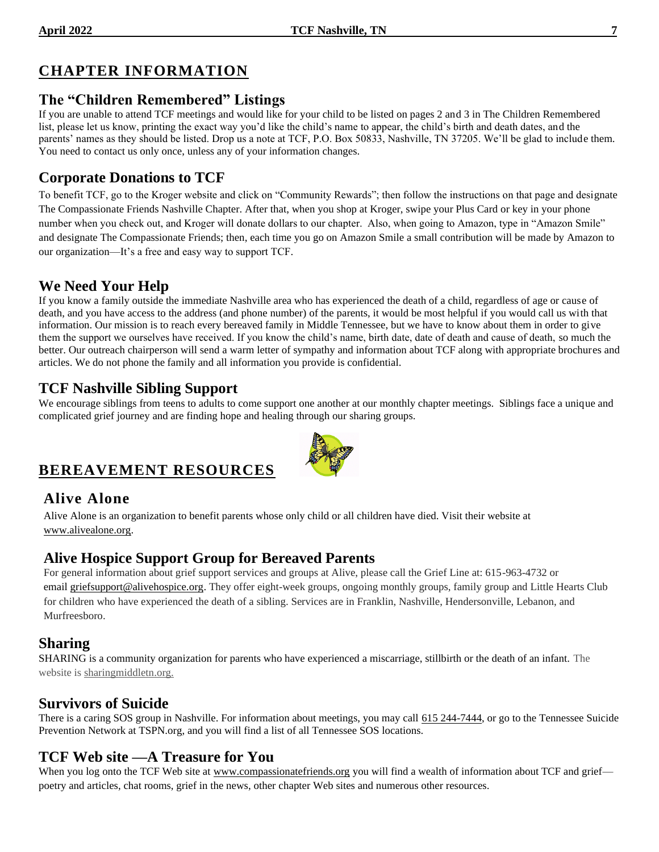# **CHAPTER INFORMATION**

#### **The "Children Remembered" Listings**

If you are unable to attend TCF meetings and would like for your child to be listed on pages 2 and 3 in The Children Remembered list, please let us know, printing the exact way you'd like the child's name to appear, the child's birth and death dates, and the parents' names as they should be listed. Drop us a note at TCF, P.O. Box 50833, Nashville, TN 37205. We'll be glad to include them. You need to contact us only once, unless any of your information changes.

# **Corporate Donations to TCF**

To benefit TCF, go to the Kroger website and click on "Community Rewards"; then follow the instructions on that page and designate The Compassionate Friends Nashville Chapter. After that, when you shop at Kroger, swipe your Plus Card or key in your phone number when you check out, and Kroger will donate dollars to our chapter. Also, when going to Amazon, type in "Amazon Smile" and designate The Compassionate Friends; then, each time you go on Amazon Smile a small contribution will be made by Amazon to our organization—It's a free and easy way to support TCF.

# **We Need Your Help**

If you know a family outside the immediate Nashville area who has experienced the death of a child, regardless of age or cause of death, and you have access to the address (and phone number) of the parents, it would be most helpful if you would call us with that information. Our mission is to reach every bereaved family in Middle Tennessee, but we have to know about them in order to give them the support we ourselves have received. If you know the child's name, birth date, date of death and cause of death, so much the better. Our outreach chairperson will send a warm letter of sympathy and information about TCF along with appropriate brochures and articles. We do not phone the family and all information you provide is confidential.

### **TCF Nashville Sibling Support**

We encourage siblings from teens to adults to come support one another at our monthly chapter meetings. Siblings face a unique and complicated grief journey and are finding hope and healing through our sharing groups.

# **BEREAVEMENT RESOURCES**

### **Alive Alone**

Alive Alone is an organization to benefit parents whose only child or all children have died. Visit their website at [www.alivealone.org.](http://www.alivealone.org/)

### **Alive Hospice Support Group for Bereaved Parents**

For general information about grief support services and groups at Alive, please call the Grief Line at: 615-963-4732 or email [griefsupport@alivehospice.org.](mailto:griefsupport@alivehospice.org) They offer eight-week groups, ongoing monthly groups, family group and Little Hearts Club for children who have experienced the death of a sibling. Services are in Franklin, Nashville, Hendersonville, Lebanon, and Murfreesboro.

### **Sharing**

SHARING is a community organization for parents who have experienced a miscarriage, stillbirth or the death of an infant. The website is sharingmiddletn.org.

### **Survivors of Suicide**

There is a caring SOS group in Nashville. For information about meetings, you may call 615 244-7444, or go to the Tennessee Suicide Prevention Network at TSPN.org, and you will find a list of all Tennessee SOS locations.

# **TCF Web site —A Treasure for You**

When you log onto the TCF Web site at [www.compassionatefriends.org](http://www.compassionatefriends.org/) you will find a wealth of information about TCF and grief poetry and articles, chat rooms, grief in the news, other chapter Web sites and numerous other resources.